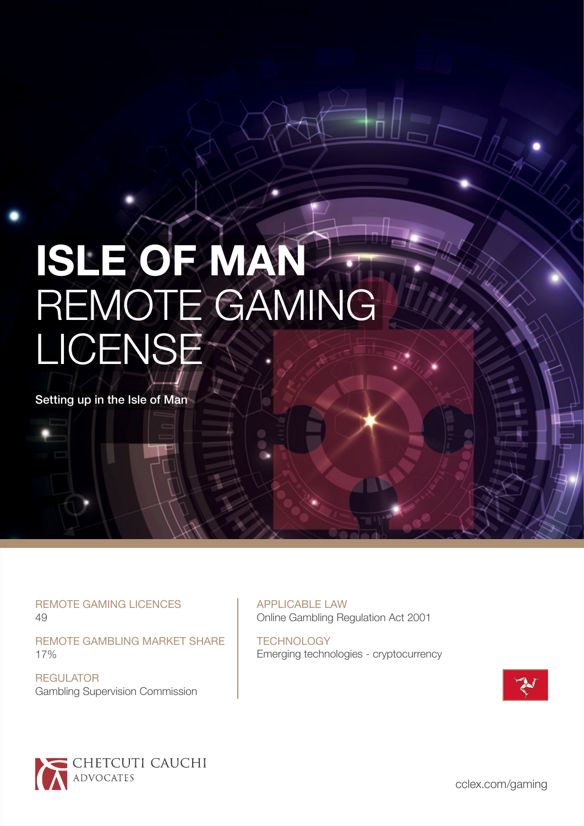# **ISLE OF MAN**  REMOTE GAMING LICENSE

Setting up in the Isle of Man

REMOTE GAMING LICENCES 49

REMOTE GAMBLING MARKET SHARE 17%

**REGULATOR** Gambling Supervision Commission APPLICABLE LAW Online Gambling Regulation Act 2001

**TECHNOLOGY** Emerging technologies - cryptocurrency





[cclex.com/gaming](https://www.ccmalta.com/by-industry/malta-gaming-industry)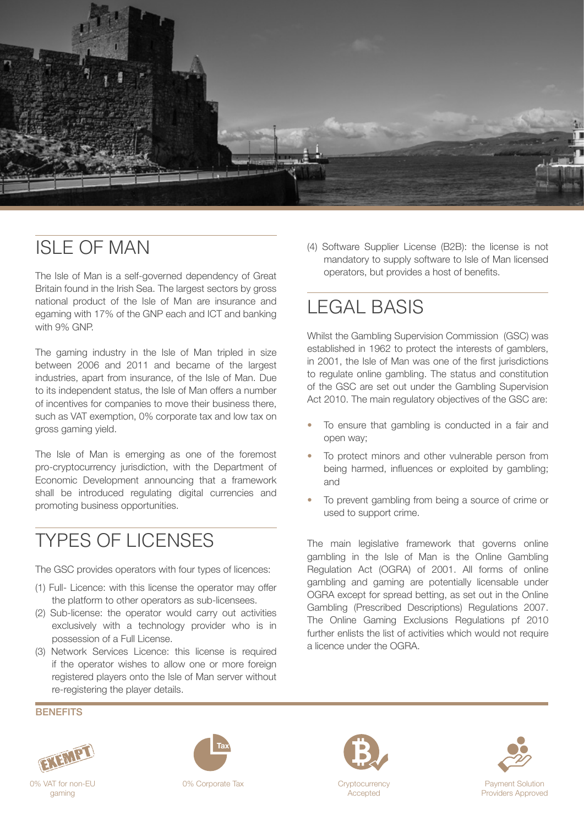

## ISLE OF MAN

The Isle of Man is a self-governed dependency of Great Britain found in the Irish Sea. The largest sectors by gross national product of the Isle of Man are insurance and egaming with 17% of the GNP each and ICT and banking with 9% GNP.

The gaming industry in the Isle of Man tripled in size between 2006 and 2011 and became of the largest industries, apart from insurance, of the Isle of Man. Due to its independent status, the Isle of Man offers a number of incentives for companies to move their business there, such as VAT exemption, 0% corporate tax and low tax on gross gaming yield.

The Isle of Man is emerging as one of the foremost pro-cryptocurrency jurisdiction, with the Department of Economic Development announcing that a framework shall be introduced regulating digital currencies and promoting business opportunities.

## TYPES OF LICENSES

The GSC provides operators with four types of licences:

- (1) Full- Licence: with this license the operator may offer the platform to other operators as sub-licensees.
- (2) Sub-license: the operator would carry out activities exclusively with a technology provider who is in possession of a Full License.
- (3) Network Services Licence: this license is required if the operator wishes to allow one or more foreign registered players onto the Isle of Man server without re-registering the player details.

(4) Software Supplier License (B2B): the license is not mandatory to supply software to Isle of Man licensed operators, but provides a host of benefits.

# LEGAL BASIS

Whilst the Gambling Supervision Commission (GSC) was established in 1962 to protect the interests of gamblers, in 2001, the Isle of Man was one of the first jurisdictions to regulate online gambling. The status and constitution of the GSC are set out under the Gambling Supervision Act 2010. The main regulatory objectives of the GSC are:

- To ensure that gambling is conducted in a fair and open way;
- To protect minors and other vulnerable person from being harmed, influences or exploited by gambling; and
- To prevent gambling from being a source of crime or used to support crime.

The main legislative framework that governs online gambling in the Isle of Man is the Online Gambling Regulation Act (OGRA) of 2001. All forms of online gambling and gaming are potentially licensable under OGRA except for spread betting, as set out in the Online Gambling (Prescribed Descriptions) Regulations 2007. The Online Gaming Exclusions Regulations pf 2010 further enlists the list of activities which would not require a licence under the OGRA

**BENEFITS** 









Providers Approved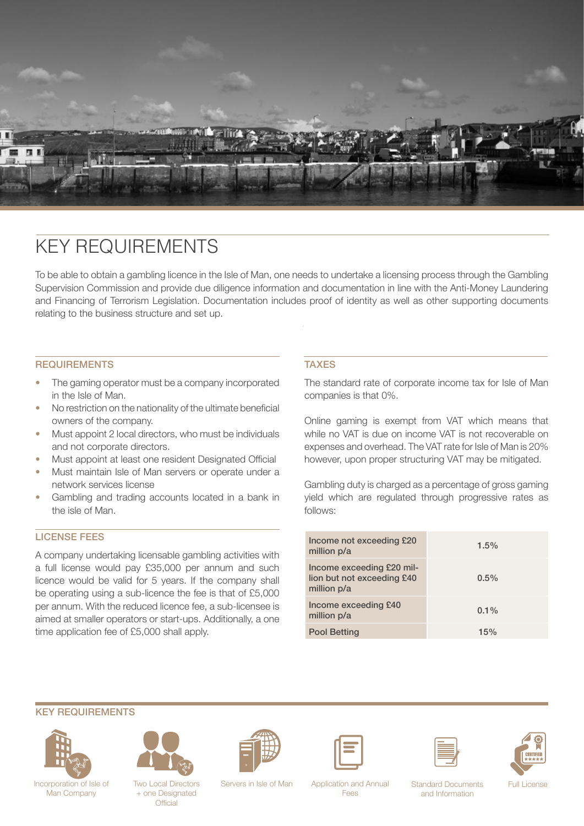

### KEY REQUIREMENTS

To be able to obtain a gambling licence in the Isle of Man, one needs to undertake a licensing process through the Gambling Supervision Commission and provide due diligence information and documentation in line with the Anti-Money Laundering and Financing of Terrorism Legislation. Documentation includes proof of identity as well as other supporting documents relating to the business structure and set up.

#### **REQUIREMENTS**

- The gaming operator must be a company incorporated in the Isle of Man.
- No restriction on the nationality of the ultimate beneficial owners of the company.
- Must appoint 2 local directors, who must be individuals and not corporate directors.
- Must appoint at least one resident Designated Official
- Must maintain Isle of Man servers or operate under a network services license
- Gambling and trading accounts located in a bank in the isle of Man.

#### LICENSE FEES

A company undertaking licensable gambling activities with a full license would pay £35,000 per annum and such licence would be valid for 5 years. If the company shall be operating using a sub-licence the fee is that of £5,000 per annum. With the reduced licence fee, a sub-licensee is aimed at smaller operators or start-ups. Additionally, a one time application fee of £5,000 shall apply.

#### **TAXES**

The standard rate of corporate income tax for Isle of Man companies is that 0%.

Online gaming is exempt from VAT which means that while no VAT is due on income VAT is not recoverable on expenses and overhead. The VAT rate for Isle of Man is 20% however, upon proper structuring VAT may be mitigated.

Gambling duty is charged as a percentage of gross gaming yield which are regulated through progressive rates as follows:

| Income not exceeding £20<br>million p/a                                | 1.5%    |
|------------------------------------------------------------------------|---------|
| Income exceeding £20 mil-<br>lion but not exceeding £40<br>million p/a | $0.5\%$ |
| Income exceeding £40<br>million p/a                                    | $0.1\%$ |
| <b>Pool Betting</b>                                                    | 15%     |

#### KEY REQUIREMENTS





Two Local Directors + one Designated **Official** 











Incorporation of Isle of Two Local Directors Servers in Isle of Man Application and Annual Standard Documents Full License

Fees

Standard Documents and Information